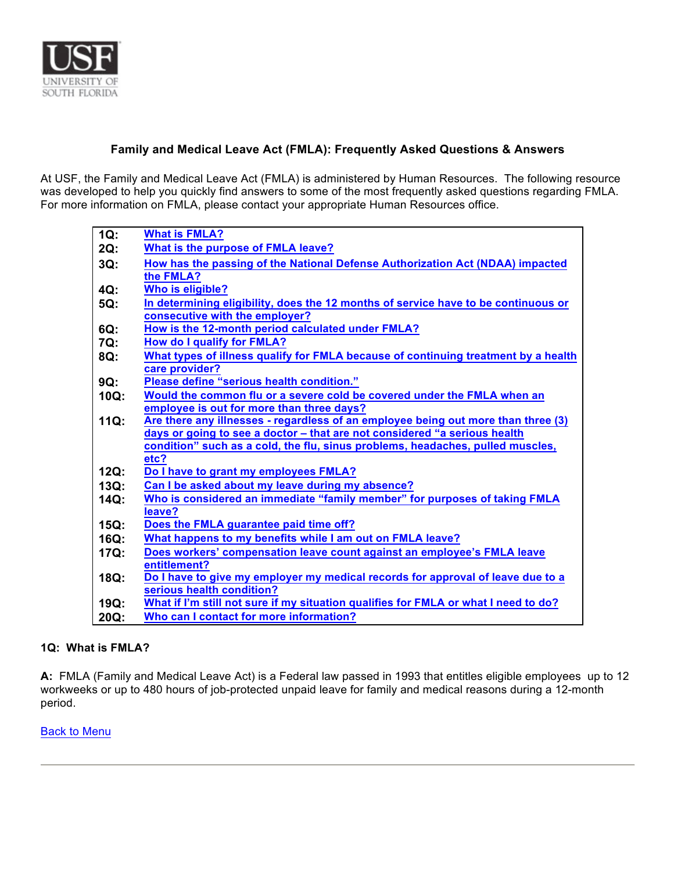

# **Family and Medical Leave Act (FMLA): Frequently Asked Questions & Answers**

At USF, the Family and Medical Leave Act (FMLA) is administered by Human Resources. The following resource was developed to help you quickly find answers to some of the most frequently asked questions regarding FMLA. For more information on FMLA, please contact your appropriate Human Resources office.

| $1Q$ :  | <b>What is FMLA?</b>                                                                |
|---------|-------------------------------------------------------------------------------------|
| 2Q:     | What is the purpose of FMLA leave?                                                  |
| $3Q$ :  | How has the passing of the National Defense Authorization Act (NDAA) impacted       |
|         | the FMLA?                                                                           |
| $4Q$ :  | <b>Who is eligible?</b>                                                             |
| 5Q:     | In determining eligibility, does the 12 months of service have to be continuous or  |
|         | consecutive with the employer?                                                      |
| 6Q:     | How is the 12-month period calculated under FMLA?                                   |
| 7Q:     | <b>How do I qualify for FMLA?</b>                                                   |
| 8Q:     | What types of illness qualify for FMLA because of continuing treatment by a health  |
|         | care provider?                                                                      |
| 9Q:     | Please define "serious health condition."                                           |
| 10Q:    | Would the common flu or a severe cold be covered under the FMLA when an             |
|         | employee is out for more than three days?                                           |
| $11Q$ : | Are there any illnesses - regardless of an employee being out more than three (3)   |
|         | days or going to see a doctor - that are not considered "a serious health           |
|         | condition" such as a cold, the flu, sinus problems, headaches, pulled muscles,      |
|         | etc?                                                                                |
| 12Q:    | Do I have to grant my employees FMLA?                                               |
| 13Q:    | Can I be asked about my leave during my absence?                                    |
| 14Q:    | Who is considered an immediate "family member" for purposes of taking FMLA          |
|         | leave?                                                                              |
| $15Q$ : | Does the FMLA guarantee paid time off?                                              |
| $16Q$ : | What happens to my benefits while I am out on FMLA leave?                           |
| 17Q:    | Does workers' compensation leave count against an employee's FMLA leave             |
|         | entitlement?                                                                        |
| 18Q:    | Do I have to give my employer my medical records for approval of leave due to a     |
|         | serious health condition?                                                           |
| 19Q:    | What if I'm still not sure if my situation qualifies for FMLA or what I need to do? |
| 20Q:    | Who can I contact for more information?                                             |

## **1Q: What is FMLA?**

**A:** FMLA (Family and Medical Leave Act) is a Federal law passed in 1993 that entitles eligible employees up to 12 workweeks or up to 480 hours of job-protected unpaid leave for family and medical reasons during a 12-month period.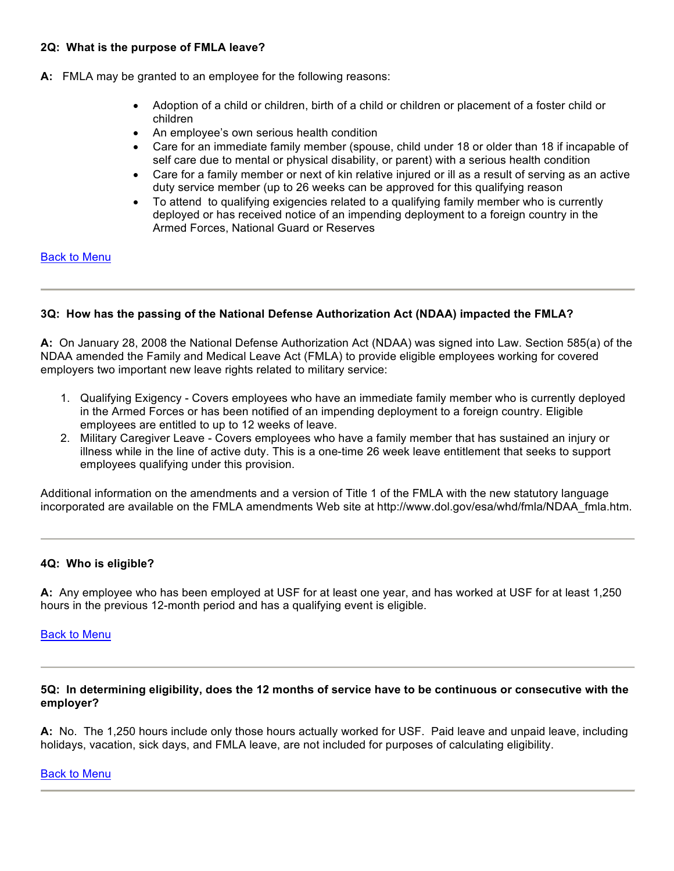### **2Q: What is the purpose of FMLA leave?**

- **A:** FMLA may be granted to an employee for the following reasons:
	- Adoption of a child or children, birth of a child or children or placement of a foster child or children
	- An employee's own serious health condition
	- Care for an immediate family member (spouse, child under 18 or older than 18 if incapable of self care due to mental or physical disability, or parent) with a serious health condition
	- Care for a family member or next of kin relative injured or ill as a result of serving as an active duty service member (up to 26 weeks can be approved for this qualifying reason
	- To attend to qualifying exigencies related to a qualifying family member who is currently deployed or has received notice of an impending deployment to a foreign country in the Armed Forces, National Guard or Reserves

### Back to Menu

## **3Q: How has the passing of the National Defense Authorization Act (NDAA) impacted the FMLA?**

**A:** On January 28, 2008 the National Defense Authorization Act (NDAA) was signed into Law. Section 585(a) of the NDAA amended the Family and Medical Leave Act (FMLA) to provide eligible employees working for covered employers two important new leave rights related to military service:

- 1. Qualifying Exigency Covers employees who have an immediate family member who is currently deployed in the Armed Forces or has been notified of an impending deployment to a foreign country. Eligible employees are entitled to up to 12 weeks of leave.
- 2. Military Caregiver Leave Covers employees who have a family member that has sustained an injury or illness while in the line of active duty. This is a one-time 26 week leave entitlement that seeks to support employees qualifying under this provision.

Additional information on the amendments and a version of Title 1 of the FMLA with the new statutory language incorporated are available on the FMLA amendments Web site at http://www.dol.gov/esa/whd/fmla/NDAA\_fmla.htm.

## **4Q: Who is eligible?**

**A:** Any employee who has been employed at USF for at least one year, and has worked at USF for at least 1,250 hours in the previous 12-month period and has a qualifying event is eligible.

## Back to Menu

### **5Q: In determining eligibility, does the 12 months of service have to be continuous or consecutive with the employer?**

**A:** No. The 1,250 hours include only those hours actually worked for USF. Paid leave and unpaid leave, including holidays, vacation, sick days, and FMLA leave, are not included for purposes of calculating eligibility.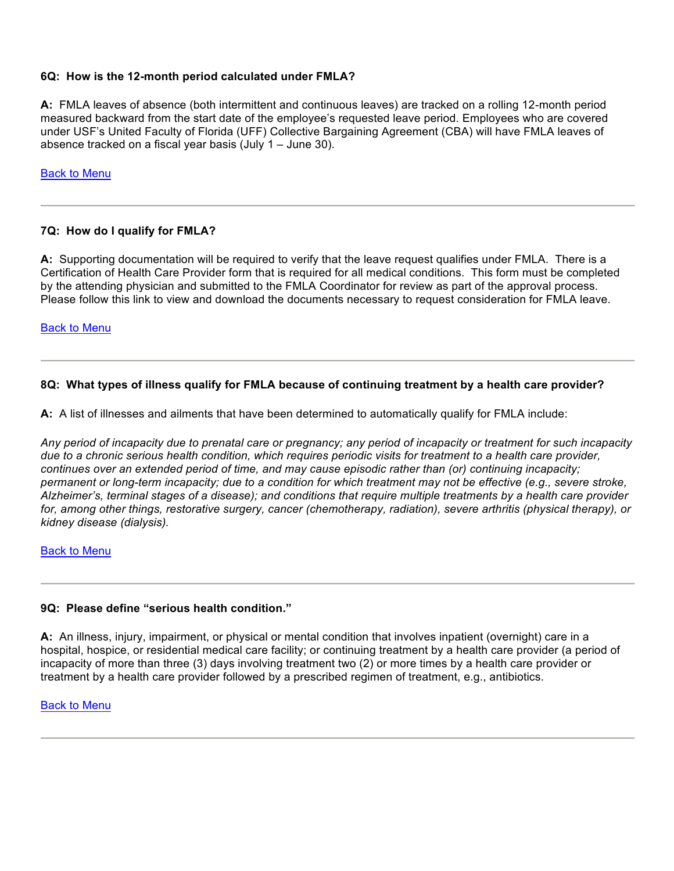## **6Q: How is the 12-month period calculated under FMLA?**

**A:** FMLA leaves of absence (both intermittent and continuous leaves) are tracked on a rolling 12-month period measured backward from the start date of the employee's requested leave period. Employees who are covered under USF's United Faculty of Florida (UFF) Collective Bargaining Agreement (CBA) will have FMLA leaves of absence tracked on a fiscal year basis (July 1 – June 30).

Back to Menu

## **7Q: How do I qualify for FMLA?**

**A:** Supporting documentation will be required to verify that the leave request qualifies under FMLA. There is a Certification of Health Care Provider form that is required for all medical conditions. This form must be completed by the attending physician and submitted to the FMLA Coordinator for review as part of the approval process. Please follow this link to view and download the documents necessary to request consideration for FMLA leave.

### Back to Menu

## **8Q: What types of illness qualify for FMLA because of continuing treatment by a health care provider?**

**A:** A list of illnesses and ailments that have been determined to automatically qualify for FMLA include:

*Any period of incapacity due to prenatal care or pregnancy; any period of incapacity or treatment for such incapacity due to a chronic serious health condition, which requires periodic visits for treatment to a health care provider, continues over an extended period of time, and may cause episodic rather than (or) continuing incapacity;*  permanent or long-term incapacity; due to a condition for which treatment may not be effective (e.g., severe stroke, *Alzheimer's, terminal stages of a disease); and conditions that require multiple treatments by a health care provider for, among other things, restorative surgery, cancer (chemotherapy, radiation), severe arthritis (physical therapy), or kidney disease (dialysis).*

#### Back to Menu

## **9Q: Please define "serious health condition."**

**A:** An illness, injury, impairment, or physical or mental condition that involves inpatient (overnight) care in a hospital, hospice, or residential medical care facility; or continuing treatment by a health care provider (a period of incapacity of more than three (3) days involving treatment two (2) or more times by a health care provider or treatment by a health care provider followed by a prescribed regimen of treatment, e.g., antibiotics.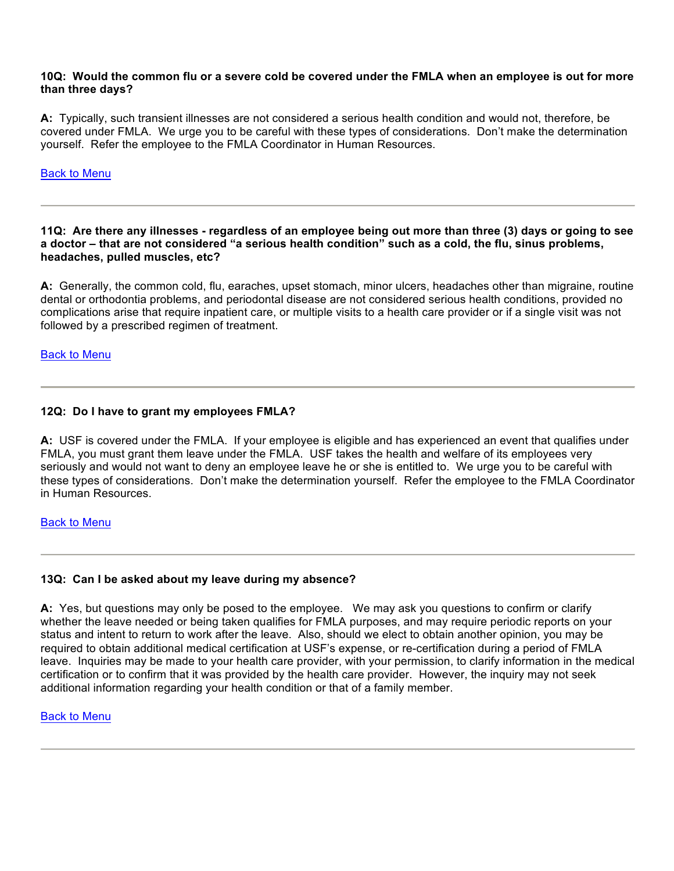#### **10Q: Would the common flu or a severe cold be covered under the FMLA when an employee is out for more than three days?**

**A:** Typically, such transient illnesses are not considered a serious health condition and would not, therefore, be covered under FMLA. We urge you to be careful with these types of considerations. Don't make the determination yourself. Refer the employee to the FMLA Coordinator in Human Resources.

## Back to Menu

**11Q: Are there any illnesses - regardless of an employee being out more than three (3) days or going to see a doctor – that are not considered "a serious health condition" such as a cold, the flu, sinus problems, headaches, pulled muscles, etc?**

**A:** Generally, the common cold, flu, earaches, upset stomach, minor ulcers, headaches other than migraine, routine dental or orthodontia problems, and periodontal disease are not considered serious health conditions, provided no complications arise that require inpatient care, or multiple visits to a health care provider or if a single visit was not followed by a prescribed regimen of treatment.

#### Back to Menu

## **12Q: Do I have to grant my employees FMLA?**

**A:** USF is covered under the FMLA. If your employee is eligible and has experienced an event that qualifies under FMLA, you must grant them leave under the FMLA. USF takes the health and welfare of its employees very seriously and would not want to deny an employee leave he or she is entitled to. We urge you to be careful with these types of considerations. Don't make the determination yourself. Refer the employee to the FMLA Coordinator in Human Resources.

#### Back to Menu

## **13Q: Can I be asked about my leave during my absence?**

**A:** Yes, but questions may only be posed to the employee. We may ask you questions to confirm or clarify whether the leave needed or being taken qualifies for FMLA purposes, and may require periodic reports on your status and intent to return to work after the leave. Also, should we elect to obtain another opinion, you may be required to obtain additional medical certification at USF's expense, or re-certification during a period of FMLA leave. Inquiries may be made to your health care provider, with your permission, to clarify information in the medical certification or to confirm that it was provided by the health care provider. However, the inquiry may not seek additional information regarding your health condition or that of a family member.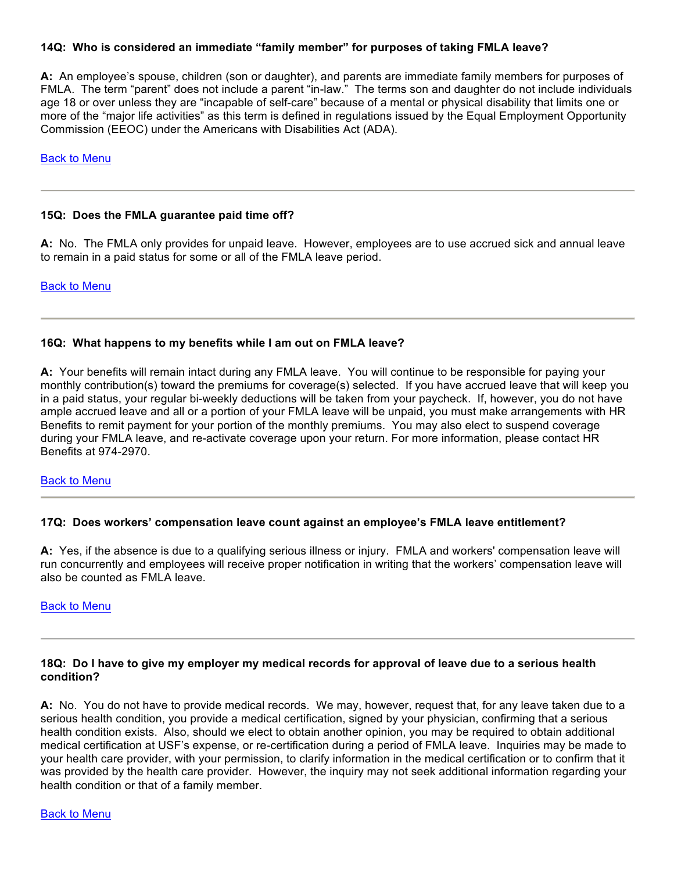### **14Q: Who is considered an immediate "family member" for purposes of taking FMLA leave?**

**A:** An employee's spouse, children (son or daughter), and parents are immediate family members for purposes of FMLA. The term "parent" does not include a parent "in-law." The terms son and daughter do not include individuals age 18 or over unless they are "incapable of self-care" because of a mental or physical disability that limits one or more of the "major life activities" as this term is defined in regulations issued by the Equal Employment Opportunity Commission (EEOC) under the Americans with Disabilities Act (ADA).

### Back to Menu

#### **15Q: Does the FMLA guarantee paid time off?**

**A:** No. The FMLA only provides for unpaid leave. However, employees are to use accrued sick and annual leave to remain in a paid status for some or all of the FMLA leave period.

Back to Menu

#### **16Q: What happens to my benefits while I am out on FMLA leave?**

**A:** Your benefits will remain intact during any FMLA leave. You will continue to be responsible for paying your monthly contribution(s) toward the premiums for coverage(s) selected. If you have accrued leave that will keep you in a paid status, your regular bi-weekly deductions will be taken from your paycheck. If, however, you do not have ample accrued leave and all or a portion of your FMLA leave will be unpaid, you must make arrangements with HR Benefits to remit payment for your portion of the monthly premiums. You may also elect to suspend coverage during your FMLA leave, and re-activate coverage upon your return. For more information, please contact HR Benefits at 974-2970.

## Back to Menu

#### **17Q: Does workers' compensation leave count against an employee's FMLA leave entitlement?**

**A:** Yes, if the absence is due to a qualifying serious illness or injury. FMLA and workers' compensation leave will run concurrently and employees will receive proper notification in writing that the workers' compensation leave will also be counted as FMLA leave.

#### Back to Menu

### **18Q: Do I have to give my employer my medical records for approval of leave due to a serious health condition?**

**A:** No. You do not have to provide medical records. We may, however, request that, for any leave taken due to a serious health condition, you provide a medical certification, signed by your physician, confirming that a serious health condition exists. Also, should we elect to obtain another opinion, you may be required to obtain additional medical certification at USF's expense, or re-certification during a period of FMLA leave. Inquiries may be made to your health care provider, with your permission, to clarify information in the medical certification or to confirm that it was provided by the health care provider. However, the inquiry may not seek additional information regarding your health condition or that of a family member.